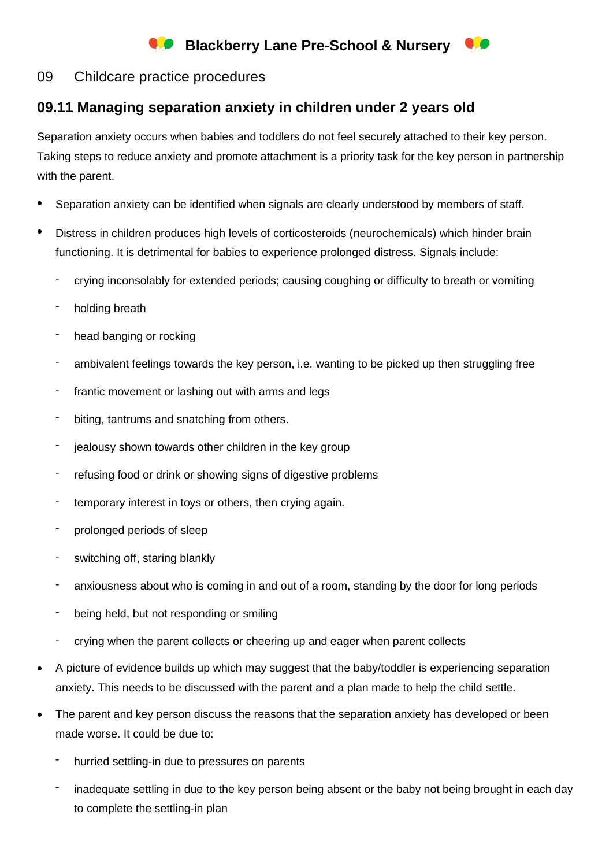## **Blackberry Lane Pre-School & Nursery**

## 09 Childcare practice procedures

## **09.11 Managing separation anxiety in children under 2 years old**

Separation anxiety occurs when babies and toddlers do not feel securely attached to their key person. Taking steps to reduce anxiety and promote attachment is a priority task for the key person in partnership with the parent.

- Separation anxiety can be identified when signals are clearly understood by members of staff.
- Distress in children produces high levels of corticosteroids (neurochemicals) which hinder brain functioning. It is detrimental for babies to experience prolonged distress. Signals include:
	- crying inconsolably for extended periods; causing coughing or difficulty to breath or vomiting
	- holding breath
	- head banging or rocking
	- ambivalent feelings towards the key person, i.e. wanting to be picked up then struggling free
	- frantic movement or lashing out with arms and legs
	- biting, tantrums and snatching from others.
	- iealousy shown towards other children in the key group
	- refusing food or drink or showing signs of digestive problems
	- temporary interest in toys or others, then crying again.
	- prolonged periods of sleep
	- switching off, staring blankly
	- anxiousness about who is coming in and out of a room, standing by the door for long periods
	- being held, but not responding or smiling
	- crying when the parent collects or cheering up and eager when parent collects
- A picture of evidence builds up which may suggest that the baby/toddler is experiencing separation anxiety. This needs to be discussed with the parent and a plan made to help the child settle.
- The parent and key person discuss the reasons that the separation anxiety has developed or been made worse. It could be due to:
	- hurried settling-in due to pressures on parents
	- inadequate settling in due to the key person being absent or the baby not being brought in each day to complete the settling-in plan